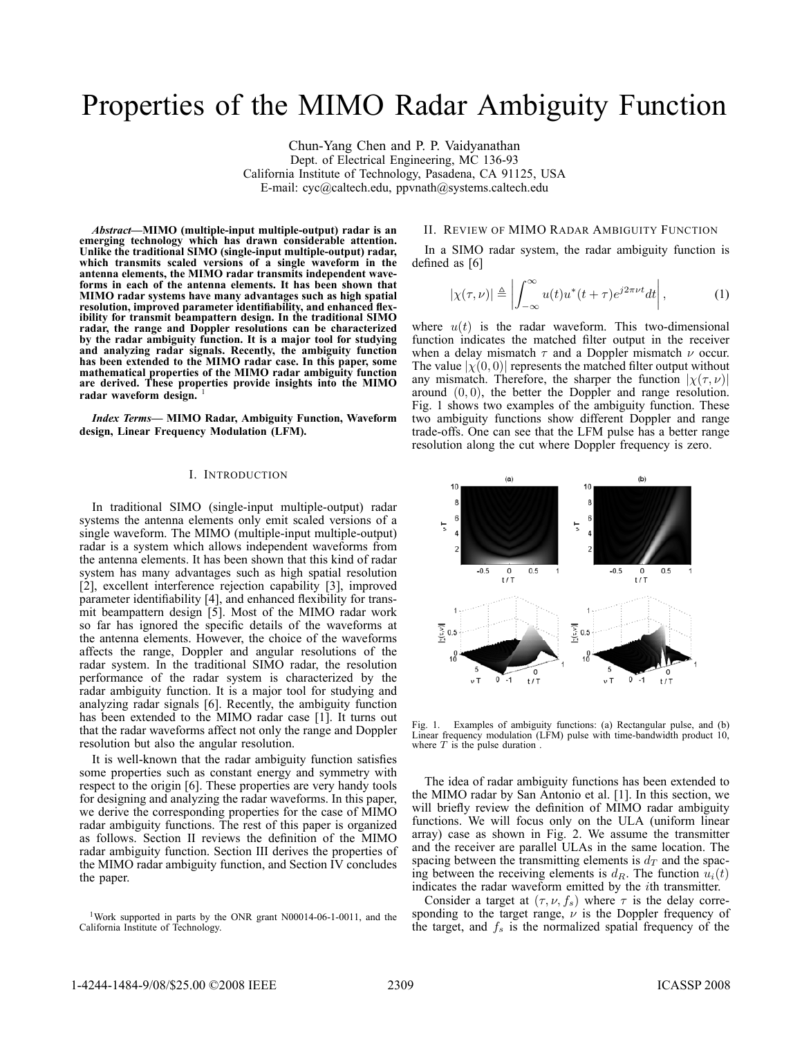# Properties of the MIMO Radar Ambiguity Function

Chun-Yang Chen and P. P. Vaidyanathan Dept. of Electrical Engineering, MC 136-93 California Institute of Technology, Pasadena, CA 91125, USA E-mail: cyc@caltech.edu, ppvnath@systems.caltech.edu

*Abstract***—MIMO (multiple-input multiple-output) radar is an emerging technology which has drawn considerable attention. Unlike the traditional SIMO (single-input multiple-output) radar, which transmits scaled versions of a single waveform in the antenna elements, the MIMO radar transmits independent waveforms in each of the antenna elements. It has been shown that MIMO radar systems have many advantages such as high spatial** ibility for transmit beampattern design. In the traditional SIMO **radar, the range and Doppler resolutions can be characterized by the radar ambiguity function. It is a major tool for studying and analyzing radar signals. Recently, the ambiguity function has been extended to the MIMO radar case. In this paper, some mathematical properties of the MIMO radar ambiguity function are derived. These properties provide insights into the MIMO radar waveform design.** <sup>1</sup>

*Index Terms***— MIMO Radar, Ambiguity Function, Waveform design, Linear Frequency Modulation (LFM).**

## I. INTRODUCTION

In traditional SIMO (single-input multiple-output) radar systems the antenna elements only emit scaled versions of a single waveform. The MIMO (multiple-input multiple-output) radar is a system which allows independent waveforms from the antenna elements. It has been shown that this kind of radar system has many advantages such as high spatial resolution [2], excellent interference rejection capability [3], improved parameter identifiability [4], and enhanced flexibility for transmit beampattern design [5]. Most of the MIMO radar work so far has ignored the specific details of the waveforms at the antenna elements. However, the choice of the waveforms affects the range, Doppler and angular resolutions of the radar system. In the traditional SIMO radar, the resolution performance of the radar system is characterized by the radar ambiguity function. It is a major tool for studying and analyzing radar signals [6]. Recently, the ambiguity function has been extended to the MIMO radar case [1]. It turns out that the radar waveforms affect not only the range and Doppler resolution but also the angular resolution.

It is well-known that the radar ambiguity function satisfies some properties such as constant energy and symmetry with respect to the origin [6]. These properties are very handy tools for designing and analyzing the radar waveforms. In this paper, we derive the corresponding properties for the case of MIMO radar ambiguity functions. The rest of this paper is organized as follows. Section II reviews the definition of the MIMO radar ambiguity function. Section III derives the properties of the MIMO radar ambiguity function, and Section IV concludes the paper.

#### II. REVIEW OF MIMO RADAR AMBIGUITY FUNCTION

In a SIMO radar system, the radar ambiguity function is defined as [6]

$$
|\chi(\tau,\nu)| \triangleq \left| \int_{-\infty}^{\infty} u(t) u^*(t+\tau) e^{j2\pi \nu t} dt \right|,
$$
 (1)

where  $u(t)$  is the radar waveform. This two-dimensional function indicates the matched filter output in the receiver when a delay mismatch  $\tau$  and a Doppler mismatch  $\nu$  occur. The value  $|\chi(0,0)|$  represents the matched filter output without any mismatch. Therefore, the sharper the function  $|\chi(\tau,\nu)|$ around  $(0, 0)$ , the better the Doppler and range resolution. Fig. 1 shows two examples of the ambiguity function. These two ambiguity functions show different Doppler and range trade-offs. One can see that the LFM pulse has a better range resolution along the cut where Doppler frequency is zero.



Fig. 1. Examples of ambiguity functions: (a) Rectangular pulse, and (b) Linear frequency modulation (LFM) pulse with time-bandwidth product 10, where  $T$  is the pulse duration.

The idea of radar ambiguity functions has been extended to the MIMO radar by San Antonio et al. [1]. In this section, we will briefly review the definition of MIMO radar ambiguity functions. We will focus only on the ULA (uniform linear array) case as shown in Fig. 2. We assume the transmitter and the receiver are parallel ULAs in the same location. The spacing between the transmitting elements is  $d<sub>T</sub>$  and the spacing between the receiving elements is  $d_R$ . The function  $u_i(t)$ indicates the radar waveform emitted by the ith transmitter.

Consider a target at  $(\tau, \nu, f_s)$  where  $\tau$  is the delay corresponding to the target range,  $\nu$  is the Doppler frequency of the target, and  $f_s$  is the normalized spatial frequency of the

<sup>&</sup>lt;sup>1</sup>Work supported in parts by the ONR grant N00014-06-1-0011, and the California Institute of Technology.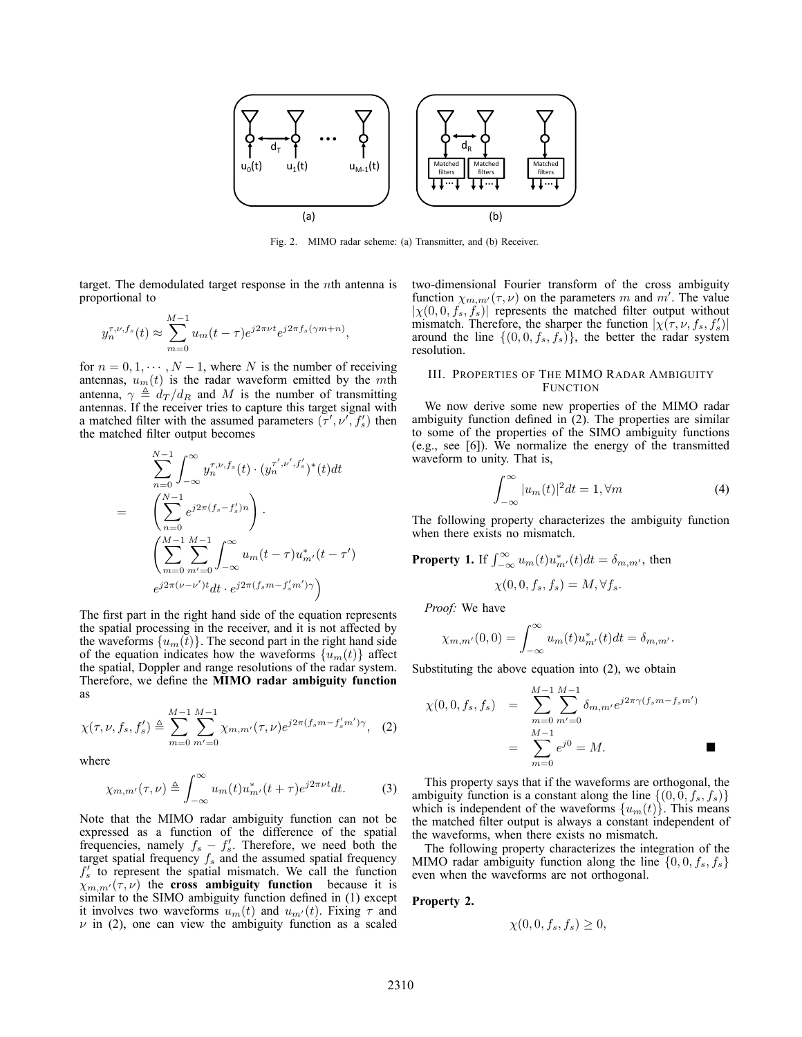

Fig. 2. MIMO radar scheme: (a) Transmitter, and (b) Receiver.

target. The demodulated target response in the nth antenna is proportional to

$$
y_n^{\tau,\nu,f_s}(t) \approx \sum_{m=0}^{M-1} u_m(t-\tau) e^{j2\pi\nu t} e^{j2\pi f_s(\gamma m+n)},
$$

for  $n = 0, 1, \dots, N - 1$ , where N is the number of receiving antennas,  $u_m(t)$  is the radar waveform emitted by the mth antenna,  $\gamma \triangleq d_T/d_R$  and M is the number of transmitting antennas. If the receiver tries to capture this target signal with a matched filter with the assumed parameters  $(\tau', \nu', f'_s)$  then the matched filter output becomes

$$
\sum_{n=0}^{N-1} \int_{-\infty}^{\infty} y_n^{\tau, \nu, f_s}(t) \cdot (y_n^{\tau', \nu', f'_s})^*(t) dt
$$
\n
$$
= \left( \sum_{n=0}^{N-1} e^{j2\pi (f_s - f'_s)n} \right).
$$
\n
$$
\left( \sum_{m=0}^{M-1} \sum_{m'=0}^{M-1} \int_{-\infty}^{\infty} u_m(t - \tau) u_{m'}^*(t - \tau')
$$
\n
$$
e^{j2\pi (\nu - \nu')} t dt \cdot e^{j2\pi (f_s m - f'_s m')\gamma} \right)
$$

The first part in the right hand side of the equation represents the spatial processing in the receiver, and it is not affected by the waveforms  $\{u_m(t)\}\$ . The second part in the right hand side of the equation indicates how the waveforms  $\{u_m(t)\}\$ affect the spatial, Doppler and range resolutions of the radar system. Therefore, we define the **MIMO radar ambiguity function** as

$$
\chi(\tau, \nu, f_s, f'_s) \triangleq \sum_{m=0}^{M-1} \sum_{m'=0}^{M-1} \chi_{m,m'}(\tau, \nu) e^{j2\pi (f_s m - f'_s m')\gamma}, \quad (2)
$$

where

$$
\chi_{m,m'}(\tau,\nu) \triangleq \int_{-\infty}^{\infty} u_m(t) u_{m'}^*(t+\tau) e^{j2\pi \nu t} dt.
$$
 (3)

Note that the MIMO radar ambiguity function can not be expressed as a function of the difference of the spatial frequencies, namely  $f_s - f'_s$ . Therefore, we need both the target spatial frequency  $f_s$  and the assumed spatial frequency  $f'_{s}$  to represent the spatial mismatch. We call the function  $\chi_{m,m'}(\tau,\nu)$  the **cross ambiguity function** because it is similar to the SIMO ambiguity function defined in (1) except it involves two waveforms  $u_m(t)$  and  $u_{m'}(t)$ . Fixing  $\tau$  and  $\nu$  in (2), one can view the ambiguity function as a scaled two-dimensional Fourier transform of the cross ambiguity function  $\chi_{m,m'}(\tau,\nu)$  on the parameters m and m'. The value  $|\chi(0, 0, f_s, f_s)|$  represents the matched filter output without mismatch. Therefore, the sharper the function  $|\chi(\tau, \nu, f_s, f'_s)|$ around the line  $\{(0, 0, f_s, f_s)\}\)$ , the better the radar system resolution.

# III. PROPERTIES OF THE MIMO RADAR AMBIGUITY FUNCTION

We now derive some new properties of the MIMO radar ambiguity function defined in (2). The properties are similar to some of the properties of the SIMO ambiguity functions (e.g., see [6]). We normalize the energy of the transmitted waveform to unity. That is,

$$
\int_{-\infty}^{\infty} |u_m(t)|^2 dt = 1, \forall m \tag{4}
$$

The following property characterizes the ambiguity function when there exists no mismatch.

**Property 1.** If 
$$
\int_{-\infty}^{\infty} u_m(t) u_{m'}^*(t) dt = \delta_{m,m'}
$$
, then  
\n $\chi(0, 0, f_s, f_s) = M, \forall f_s$ .

*Proof:* We have

$$
\chi_{m,m'}(0,0) = \int_{-\infty}^{\infty} u_m(t) u_{m'}^*(t) dt = \delta_{m,m'}.
$$

Substituting the above equation into (2), we obtain

$$
\chi(0,0,f_s,f_s) = \sum_{m=0}^{M-1} \sum_{m'=0}^{M-1} \delta_{m,m'} e^{j2\pi \gamma (f_s m - f_s m')}
$$
  
= 
$$
\sum_{m=0}^{M-1} e^{j0} = M.
$$

This property says that if the waveforms are orthogonal, the ambiguity function is a constant along the line  $\{(0,0,f_s,f_s)\}\$ which is independent of the waveforms  $\{u_m(t)\}\$ . This means the matched filter output is always a constant independent of the waveforms, when there exists no mismatch.

The following property characterizes the integration of the MIMO radar ambiguity function along the line  $\{0, 0, f_s, f_s\}$ even when the waveforms are not orthogonal.

**Property 2.**

$$
\chi(0,0,f_s,f_s)\geq 0,
$$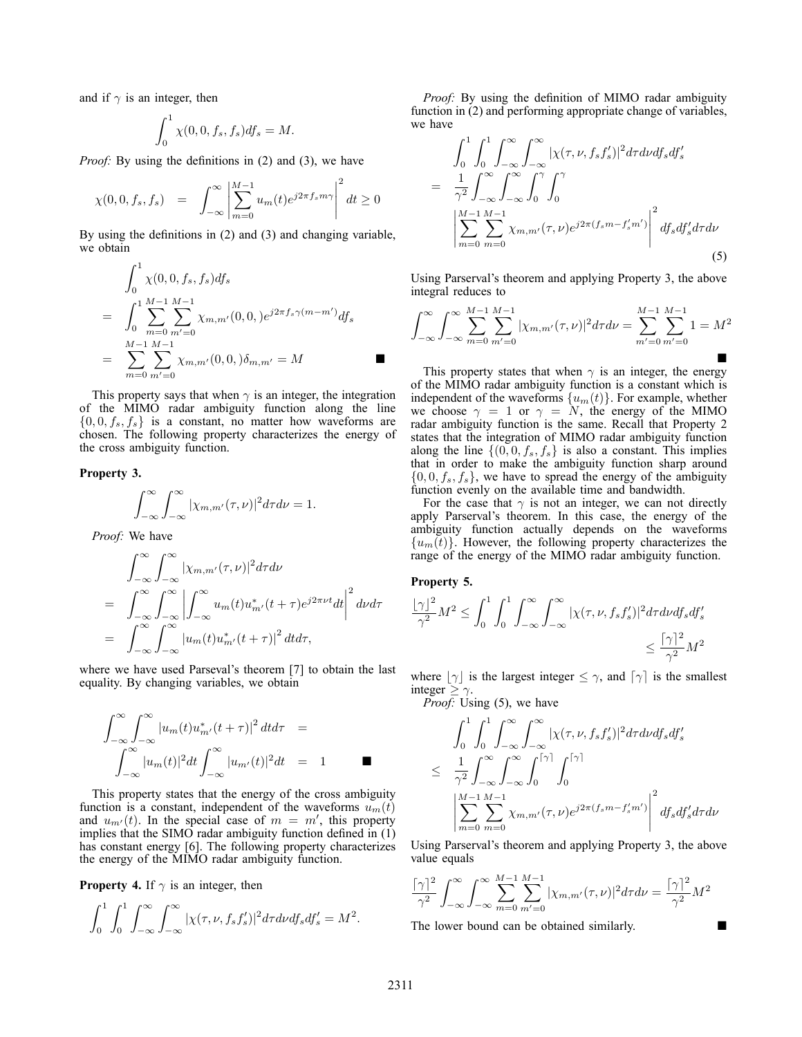and if  $\gamma$  is an integer, then

$$
\int_0^1 \chi(0,0,f_s,f_s)df_s = M.
$$

*Proof:* By using the definitions in (2) and (3), we have

$$
\chi(0,0,f_s,f_s) = \int_{-\infty}^{\infty} \left| \sum_{m=0}^{M-1} u_m(t) e^{j2\pi f_s m\gamma} \right|^2 dt \ge 0
$$

By using the definitions in (2) and (3) and changing variable, we obtain

$$
\int_0^1 \chi(0, 0, f_s, f_s) df_s
$$
  
= 
$$
\int_0^1 \sum_{m=0}^{M-1} \sum_{m'=0}^{M-1} \chi_{m,m'}(0, 0, ) e^{j2\pi f_s \gamma (m-m')} df_s
$$
  
= 
$$
\sum_{m=0}^{M-1} \sum_{m'=0}^{M-1} \chi_{m,m'}(0, 0, ) \delta_{m,m'} = M
$$

This property says that when  $\gamma$  is an integer, the integration of the MIMO radar ambiguity function along the line  $\{0, 0, f_s, f_s\}$  is a constant, no matter how waveforms are chosen. The following property characterizes the energy of the cross ambiguity function.

# **Property 3.**

$$
\int_{-\infty}^{\infty} \int_{-\infty}^{\infty} |\chi_{m,m'}(\tau,\nu)|^2 d\tau d\nu = 1.
$$

*Proof:* We have

$$
\int_{-\infty}^{\infty} \int_{-\infty}^{\infty} |\chi_{m,m'}(\tau,\nu)|^2 d\tau d\nu
$$
\n
$$
= \int_{-\infty}^{\infty} \int_{-\infty}^{\infty} \left| \int_{-\infty}^{\infty} u_m(t) u_{m'}^*(t+\tau) e^{j2\pi \nu t} dt \right|^2 d\nu d\tau
$$
\n
$$
= \int_{-\infty}^{\infty} \int_{-\infty}^{\infty} |u_m(t) u_{m'}^*(t+\tau)|^2 dt d\tau,
$$

where we have used Parseval's theorem [7] to obtain the last equality. By changing variables, we obtain

$$
\int_{-\infty}^{\infty} \int_{-\infty}^{\infty} |u_m(t)u_{m'}^*(t+\tau)|^2 dt d\tau =
$$
  

$$
\int_{-\infty}^{\infty} |u_m(t)|^2 dt \int_{-\infty}^{\infty} |u_{m'}(t)|^2 dt = 1
$$

This property states that the energy of the cross ambiguity function is a constant, independent of the waveforms  $u_m(t)$ and  $u_{m'}(t)$ . In the special case of  $m = m'$ , this property implies that the SIMO radar ambiguity function defined in (1) has constant energy [6]. The following property characterizes the energy of the MIMO radar ambiguity function.

**Property 4.** If  $\gamma$  is an integer, then

$$
\int_0^1 \int_0^1 \int_{-\infty}^\infty \int_{-\infty}^\infty |\chi(\tau,\nu, f_s f_s')|^2 d\tau d\nu df_s df_s' = M^2.
$$

*Proof:* By using the definition of MIMO radar ambiguity function in  $(2)$  and performing appropriate change of variables, we have

$$
\int_{0}^{1} \int_{0}^{1} \int_{-\infty}^{\infty} \int_{-\infty}^{\infty} |\chi(\tau, \nu, f_{s}f_{s}')|^{2} d\tau d\nu df_{s} df_{s}'
$$
\n
$$
= \frac{1}{\gamma^{2}} \int_{-\infty}^{\infty} \int_{-\infty}^{\infty} \int_{0}^{\gamma} \int_{0}^{\gamma} \int_{0}^{\gamma} \left| \sum_{m=0}^{M-1} \sum_{m=0}^{M-1} \chi_{m,m'}(\tau, \nu) e^{j2\pi (f_{s}m - f_{s}'m')} \right|^{2} df_{s} df_{s}' d\tau d\nu
$$
\n(5)

Using Parserval's theorem and applying Property 3, the above integral reduces to

$$
\int_{-\infty}^{\infty} \int_{-\infty}^{\infty} \sum_{m=0}^{M-1} \sum_{m'=0}^{M-1} |\chi_{m,m'}(\tau,\nu)|^2 d\tau d\nu = \sum_{m'=0}^{M-1} \sum_{m'=0}^{M-1} 1 = M^2
$$

This property states that when  $\gamma$  is an integer, the energy of the MIMO radar ambiguity function is a constant which is independent of the waveforms  $\{u_m(t)\}\$ . For example, whether we choose  $\gamma = 1$  or  $\gamma = N$ , the energy of the MIMO radar ambiguity function is the same. Recall that Property 2 states that the integration of MIMO radar ambiguity function along the line  $\{(0, 0, f_s, f_s)\}$  is also a constant. This implies that in order to make the ambiguity function sharp around  $\{0, 0, f_s, f_s\}$ , we have to spread the energy of the ambiguity function evenly on the available time and bandwidth.

For the case that  $\gamma$  is not an integer, we can not directly apply Parserval's theorem. In this case, the energy of the ambiguity function actually depends on the waveforms  ${u<sub>m</sub>(t)}$ . However, the following property characterizes the range of the energy of the MIMO radar ambiguity function.

# **Property 5.**

$$
\frac{[\gamma]^2}{\gamma^2} M^2 \le \int_0^1 \int_0^1 \int_{-\infty}^\infty \int_{-\infty}^\infty |\chi(\tau,\nu, f_s f_s')|^2 d\tau d\nu df_s df_s' \le \frac{[\gamma]^2}{\gamma^2} M^2
$$

where  $[\gamma]$  is the largest integer  $\leq \gamma$ , and  $[\gamma]$  is the smallest integer  $\geq \gamma$ .

*Proof:* Using (5), we have

$$
\int_0^1 \int_0^1 \int_{-\infty}^\infty \int_{-\infty}^\infty |\chi(\tau,\nu, f_s f_s')|^2 d\tau d\nu df_s df_s'
$$
  
\n
$$
\leq \frac{1}{\gamma^2} \int_{-\infty}^\infty \int_{-\infty}^\infty \int_0^{\lceil \gamma \rceil} \int_0^{\lceil \gamma \rceil} \int_0^{\lceil \gamma \rceil} d\tau d\nu
$$
  
\n
$$
\left| \sum_{m=0}^{M-1} \sum_{m=0}^{M-1} \chi_{m,m'}(\tau,\nu) e^{j2\pi (f_s m - f_s' m')} \right|^2 df_s df_s' d\tau d\nu
$$

Using Parserval's theorem and applying Property 3, the above value equals

$$
\frac{[\gamma]^2}{\gamma^2} \int_{-\infty}^{\infty} \int_{-\infty}^{\infty} \sum_{m=0}^{M-1} \sum_{m'=0}^{M-1} |\chi_{m,m'}(\tau,\nu)|^2 d\tau d\nu = \frac{[\gamma]^2}{\gamma^2} M^2
$$

The lower bound can be obtained similarly.